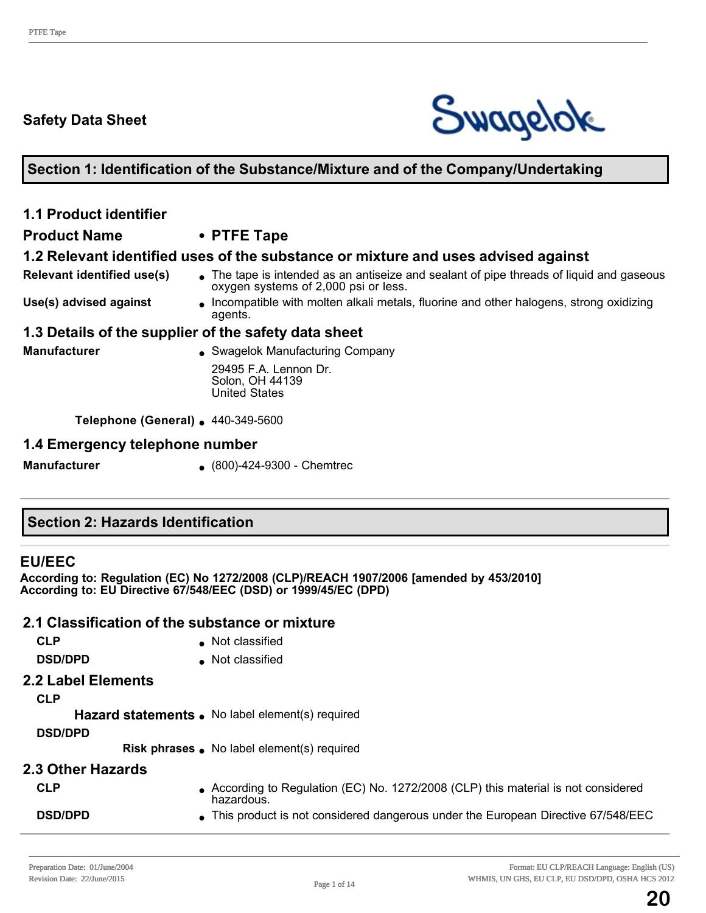# **Safety Data Sheet**



#### **Section 1: Identification of the Substance/Mixture and of the Company/Undertaking**

# **1.1 Product identifier**

#### **Product Name • PTFE Tape**

#### **1.2 Relevant identified uses of the substance or mixture and uses advised against**

- **Relevant identified use(s) .** The tape is intended as an antiseize and sealant of pipe threads of liquid and gaseous oxygen systems of 2,000 psi or less.
- **Use(s) advised against Incompatible with molten alkali metals, fluorine and other halogens, strong oxidizing** agents.

#### **1.3 Details of the supplier of the safety data sheet**

**Manufacturer and Swagelok Manufacturing Company** 29495 F.A. Lennon Dr. Solon, OH 44139 United States

**Telephone (General)** 140-349-5600

#### **1.4 Emergency telephone number**

**Manufacturer** (800)-424-9300 - Chemtrec

# **Section 2: Hazards Identification**

#### **EU/EEC**

**According to: Regulation (EC) No 1272/2008 (CLP)/REACH 1907/2006 [amended by 453/2010] According to: EU Directive 67/548/EEC (DSD) or 1999/45/EC (DPD)** 

#### **2.1 Classification of the substance or mixture**

| <b>CLP</b>               | • Not classified                                                                               |
|--------------------------|------------------------------------------------------------------------------------------------|
| <b>DSD/DPD</b>           | Not classified                                                                                 |
| 2.2 Label Elements       |                                                                                                |
| <b>CLP</b>               |                                                                                                |
|                          | Hazard statements . No label element(s) required                                               |
| <b>DSD/DPD</b>           |                                                                                                |
|                          | Risk phrases . No label element(s) required                                                    |
| <b>2.3 Other Hazards</b> |                                                                                                |
| <b>CLP</b>               | According to Regulation (EC) No. 1272/2008 (CLP) this material is not considered<br>hazardous. |
| <b>DSD/DPD</b>           | • This product is not considered dangerous under the European Directive 67/548/EEC             |
|                          |                                                                                                |

**20**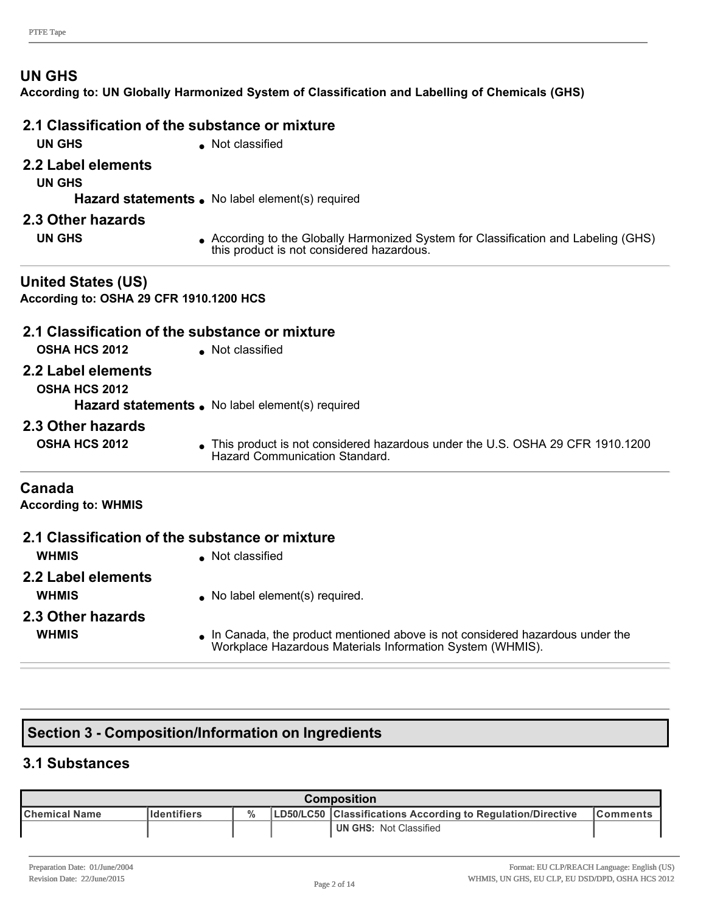#### **UN GHS**

**According to: UN Globally Harmonized System of Classification and Labelling of Chemicals (GHS)**

|                                                                      | 2.1 Classification of the substance or mixture                                                                                 |
|----------------------------------------------------------------------|--------------------------------------------------------------------------------------------------------------------------------|
| <b>UN GHS</b>                                                        | Not classified                                                                                                                 |
| 2.2 Label elements                                                   |                                                                                                                                |
| <b>UN GHS</b>                                                        |                                                                                                                                |
|                                                                      | Hazard statements . No label element(s) required                                                                               |
| 2.3 Other hazards                                                    |                                                                                                                                |
| <b>UN GHS</b>                                                        | According to the Globally Harmonized System for Classification and Labeling (GHS)<br>this product is not considered hazardous. |
| <b>United States (US)</b><br>According to: OSHA 29 CFR 1910.1200 HCS |                                                                                                                                |
|                                                                      | 2.1 Classification of the substance or mixture                                                                                 |
| <b>OSHA HCS 2012</b>                                                 | • Not classified                                                                                                               |
| 2.2 Label elements                                                   |                                                                                                                                |
| <b>OSHA HCS 2012</b>                                                 |                                                                                                                                |
|                                                                      | Hazard statements . No label element(s) required                                                                               |
| 2.3 Other hazards                                                    |                                                                                                                                |
| <b>OSHA HCS 2012</b>                                                 | This product is not considered hazardous under the U.S. OSHA 29 CFR 1910.1200<br>Hazard Communication Standard.                |
| Canada                                                               |                                                                                                                                |
| <b>According to: WHMIS</b>                                           |                                                                                                                                |
|                                                                      | 2.1 Classification of the substance or mixture                                                                                 |
| <b>WHMIS</b>                                                         | • Not classified                                                                                                               |
| 2.2 Label elements                                                   |                                                                                                                                |
| <b>WHMIS</b>                                                         | No label element(s) required.                                                                                                  |
| 2.3 Other hazards                                                    |                                                                                                                                |
|                                                                      |                                                                                                                                |

**WHMIS ID** In Canada, the product mentioned above is not considered hazardous under the Workplace Hazardous Materials Information System (WHMIS).

# **Section 3 Composition/Information on Ingredients**

#### **3.1 Substances**

| Composition    |                    |  |  |                                                             |                 |
|----------------|--------------------|--|--|-------------------------------------------------------------|-----------------|
| ∣Chemical Name | <b>Identifiers</b> |  |  | LD50/LC50 Classifications According to Regulation/Directive | <b>Comments</b> |
|                |                    |  |  | <b>UN GHS: Not Classified</b>                               |                 |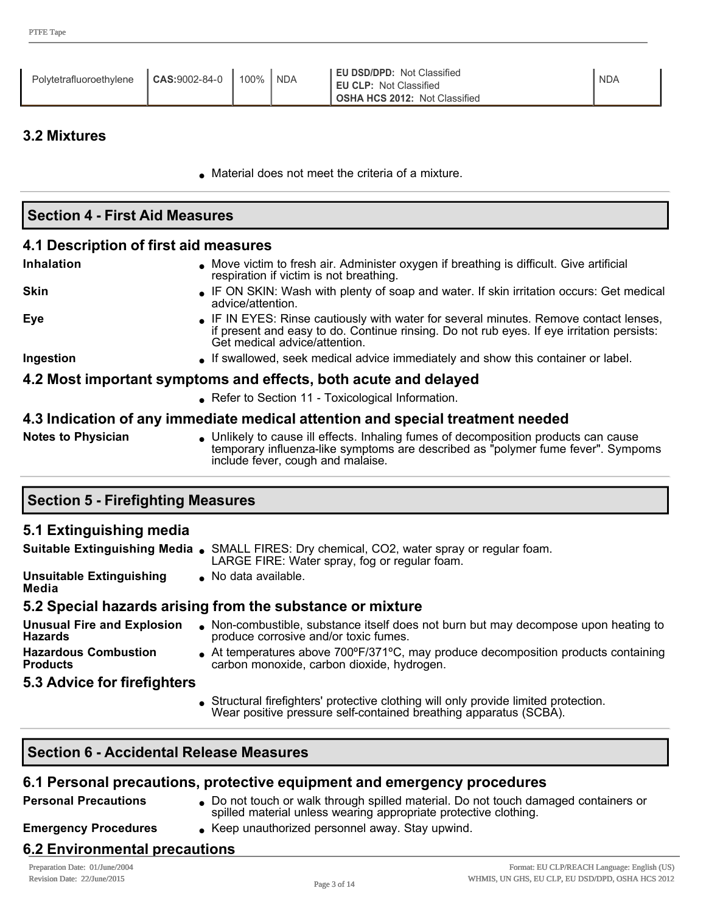| CAS:9002-84-0<br>Polytetrafluoroethylene | 100% | <b>NDA</b> | <b>EU DSD/DPD: Not Classified</b><br><b>EU CLP: Not Classified</b><br><b>OSHA HCS 2012: Not Classified</b> | <b>NDA</b> |
|------------------------------------------|------|------------|------------------------------------------------------------------------------------------------------------|------------|
|------------------------------------------|------|------------|------------------------------------------------------------------------------------------------------------|------------|

#### **3.2 Mixtures**

**.** Material does not meet the criteria of a mixture.

| <b>Section 4 - First Aid Measures</b> |                                                                                                                                                                                                                     |  |  |  |
|---------------------------------------|---------------------------------------------------------------------------------------------------------------------------------------------------------------------------------------------------------------------|--|--|--|
| 4.1 Description of first aid measures |                                                                                                                                                                                                                     |  |  |  |
| <b>Inhalation</b>                     | • Move victim to fresh air. Administer oxygen if breathing is difficult. Give artificial<br>respiration if victim is not breathing.                                                                                 |  |  |  |
| <b>Skin</b>                           | • IF ON SKIN: Wash with plenty of soap and water. If skin irritation occurs: Get medical<br>advice/attention.                                                                                                       |  |  |  |
| <b>Eye</b>                            | • IF IN EYES: Rinse cautiously with water for several minutes. Remove contact lenses,<br>if present and easy to do. Continue rinsing. Do not rub eyes. If eye irritation persists:<br>Get medical advice/attention. |  |  |  |
| Ingestion                             | • If swallowed, seek medical advice immediately and show this container or label.                                                                                                                                   |  |  |  |
|                                       | 4.2 Most important symptoms and effects, both acute and delayed                                                                                                                                                     |  |  |  |
|                                       | • Refer to Section 11 - Toxicological Information.                                                                                                                                                                  |  |  |  |
|                                       | 4.3 Indication of any immediate medical attention and special treatment needed                                                                                                                                      |  |  |  |
| <b>Notes to Physician</b>             | • Unlikely to cause ill effects. Inhaling fumes of decomposition products can cause<br>temporary influenza-like symptoms are described as "polymer fume fever". Sympoms<br>include fever, cough and malaise.        |  |  |  |

# **Section 5 Firefighting Measures**

#### **5.1 Extinguishing media**

|                                                     | Suitable Extinguishing Media . SMALL FIRES: Dry chemical, CO2, water spray or regular foam.<br>LARGE FIRE: Water spray, fog or regular foam. |
|-----------------------------------------------------|----------------------------------------------------------------------------------------------------------------------------------------------|
| <b>Unsuitable Extinguishing</b><br>Media            | No data available.                                                                                                                           |
|                                                     | 5.2 Special hazards arising from the substance or mixture                                                                                    |
| <b>Unusual Fire and Explosion</b><br><b>Hazards</b> | • Non-combustible, substance itself does not burn but may decompose upon heating to<br>produce corrosive and/or toxic fumes.                 |
| <b>Hazardous Combustion</b><br><b>Products</b>      | At temperatures above 700°F/371°C, may produce decomposition products containing<br>carbon monoxide, carbon dioxide, hydrogen.               |

**5.3 Advice for firefighters**

- Structural firefighters' protective clothing will only provide limited protection.
- Wear positive pressure self-contained breathing apparatus (SCBA).

#### **Section 6 Accidental Release Measures**

#### **6.1 Personal precautions, protective equipment and emergency procedures**

**Personal Precautions** . Do not touch or walk through spilled material. Do not touch damaged containers or spilled material unless wearing appropriate protective clothing.

**Emergency Procedures** . Keep unauthorized personnel away. Stay upwind.

# **6.2 Environmental precautions**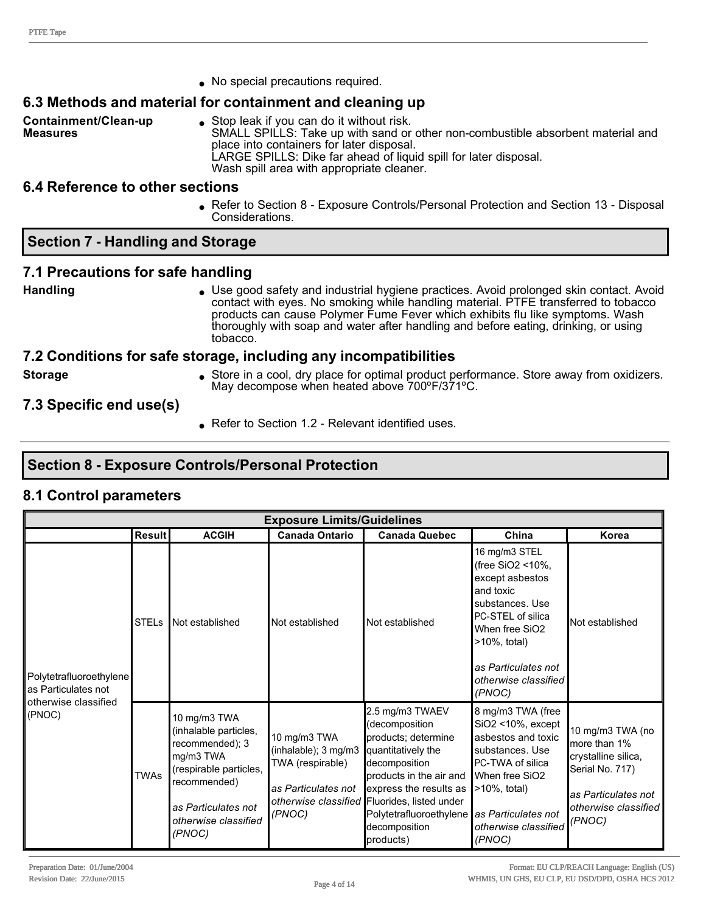• No special precautions required.

# **6.3 Methods and material for containment and cleaning up**

**Containment/Clean-up Measures**

 $\bullet$  Stop leak if you can do it without risk. SMALL SPILLS: Take up with sand or other non-combustible absorbent material and

place into containers for later disposal. LARGE SPILLS: Dike far ahead of liquid spill for later disposal.

Wash spill area with appropriate cleaner.

#### **6.4 Reference to other sections**

**Refer to Section 8 - Exposure Controls/Personal Protection and Section 13 - Disposal** Considerations.

#### **Section 7 Handling and Storage**

#### **7.1 Precautions for safe handling**

**Handling lack and industrial hygiene practices. Avoid prolonged skin contact. Avoid prolonged skin contact. Avoid** contact with eyes. No smoking while handling material. PTFE transferred to tobacco products can cause Polymer Fume Fever which exhibits flu like symptoms. Wash thoroughly with soap and water after handling and before eating, drinking, or using tobacco.

#### **7.2 Conditions for safe storage, including any incompatibilities**

**Storage store in a cool, dry place for optimal product performance. Store away from oxidizers.** May decompose when heated above 700ºF/371ºC.

**7.3 Specific end use(s)**

Refer to Section 1.2 - Relevant identified uses.

# **Section 8 Exposure Controls/Personal Protection**

# **8.1 Control parameters**

| <b>Exposure Limits/Guidelines</b>                                      |               |                                                                                                                                                                          |                                                                                           |                                                                                                                                                                                                                                                                |                                                                                                                                                                                                          |                                                                                                                                     |
|------------------------------------------------------------------------|---------------|--------------------------------------------------------------------------------------------------------------------------------------------------------------------------|-------------------------------------------------------------------------------------------|----------------------------------------------------------------------------------------------------------------------------------------------------------------------------------------------------------------------------------------------------------------|----------------------------------------------------------------------------------------------------------------------------------------------------------------------------------------------------------|-------------------------------------------------------------------------------------------------------------------------------------|
|                                                                        | <b>Result</b> | <b>ACGIH</b>                                                                                                                                                             | <b>Canada Ontario</b>                                                                     | <b>Canada Quebec</b>                                                                                                                                                                                                                                           | China                                                                                                                                                                                                    | Korea                                                                                                                               |
| Polytetrafluoroethylene<br>as Particulates not<br>otherwise classified | <b>STELs</b>  | Not established                                                                                                                                                          | Not established                                                                           | Not established                                                                                                                                                                                                                                                | 16 mg/m3 STEL<br>(free SiO2 <10%,<br>except asbestos<br>and toxic<br>substances. Use<br>PC-STEL of silica<br>When free SiO2<br>$>10\%$ , total)<br>as Particulates not<br>otherwise classified<br>(PNOC) | Not established                                                                                                                     |
| (PNOC)                                                                 | <b>TWAs</b>   | 10 mg/m3 TWA<br>(inhalable particles,<br>recommended); 3<br>mg/m3 TWA<br>(respirable particles,<br>recommended)<br>as Particulates not<br>otherwise classified<br>(PNOC) | 10 mg/m3 TWA<br>(inhalable); 3 mg/m3<br>TWA (respirable)<br>as Particulates not<br>(PNOC) | 2.5 mg/m3 TWAEV<br>(decomposition<br>products; determine<br>quantitatively the<br>decomposition<br>Iproducts in the air and<br>express the results as<br>otherwise classified Fluorides, listed under<br>Polytetrafluoroethylene<br>decomposition<br>products) | 8 mg/m3 TWA (free<br>$SiO2 < 10\%$ , except<br>asbestos and toxic<br>substances. Use<br>PC-TWA of silica<br>When free SiO2<br>$>10\%$ , total)<br>as Particulates not<br>otherwise classified<br>(PNOC)  | 10 mg/m3 TWA (no<br>more than 1%<br>crystalline silica,<br>Serial No. 717)<br>as Particulates not<br>otherwise classified<br>(PNOC) |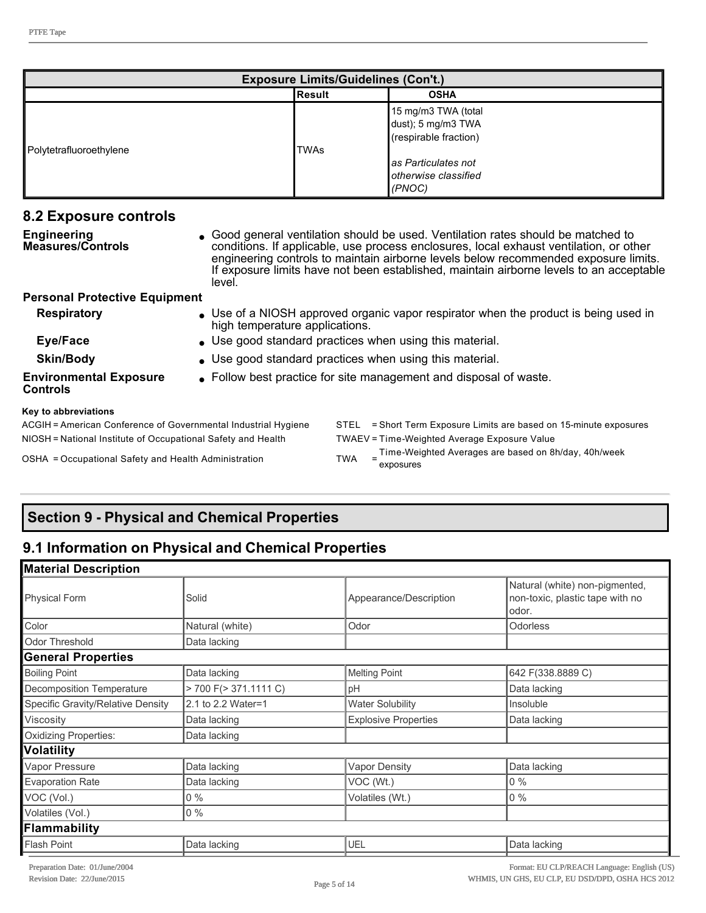| <b>Exposure Limits/Guidelines (Con't.)</b> |        |                                                                    |  |
|--------------------------------------------|--------|--------------------------------------------------------------------|--|
|                                            | Result | <b>OSHA</b>                                                        |  |
| Polytetrafluoroethylene                    | TWAs   | 15 mg/m3 TWA (total<br>dust); 5 mg/m3 TWA<br>(respirable fraction) |  |
|                                            |        | <b>l</b> as Particulates not<br>otherwise classified<br>(PNOC)     |  |

| 8.2 Exposure controls                                                                                                                                               |                                                                   |                                                                                                                                                                                                                                                                                                                                                               |  |  |  |
|---------------------------------------------------------------------------------------------------------------------------------------------------------------------|-------------------------------------------------------------------|---------------------------------------------------------------------------------------------------------------------------------------------------------------------------------------------------------------------------------------------------------------------------------------------------------------------------------------------------------------|--|--|--|
| Engineering<br><b>Measures/Controls</b>                                                                                                                             | level.                                                            | • Good general ventilation should be used. Ventilation rates should be matched to<br>conditions. If applicable, use process enclosures, local exhaust ventilation, or other<br>engineering controls to maintain airborne levels below recommended exposure limits.<br>If exposure limits have not been established, maintain airborne levels to an acceptable |  |  |  |
| <b>Personal Protective Equipment</b>                                                                                                                                |                                                                   |                                                                                                                                                                                                                                                                                                                                                               |  |  |  |
| <b>Respiratory</b>                                                                                                                                                  |                                                                   | • Use of a NIOSH approved organic vapor respirator when the product is being used in<br>high temperature applications.                                                                                                                                                                                                                                        |  |  |  |
| Eye/Face                                                                                                                                                            |                                                                   | • Use good standard practices when using this material.                                                                                                                                                                                                                                                                                                       |  |  |  |
| <b>Skin/Body</b>                                                                                                                                                    |                                                                   | . Use good standard practices when using this material.                                                                                                                                                                                                                                                                                                       |  |  |  |
| <b>Environmental Exposure</b><br><b>Controls</b>                                                                                                                    | • Follow best practice for site management and disposal of waste. |                                                                                                                                                                                                                                                                                                                                                               |  |  |  |
| Key to abbreviations                                                                                                                                                |                                                                   |                                                                                                                                                                                                                                                                                                                                                               |  |  |  |
| ACGIH = American Conference of Governmental Industrial Hygiene                                                                                                      |                                                                   | = Short Term Exposure Limits are based on 15-minute exposures<br>STEL                                                                                                                                                                                                                                                                                         |  |  |  |
| NIOSH = National Institute of Occupational Safety and Health                                                                                                        |                                                                   | TWAEV = Time-Weighted Average Exposure Value                                                                                                                                                                                                                                                                                                                  |  |  |  |
| $\Omega_{\rm C}$ $\sim$ $\Omega_{\rm C}$ $\sim$ $\Omega_{\rm C}$ $\sim$ $\Omega_{\rm C}$ $\sim$ $\Omega_{\rm C}$ and $\Omega_{\rm C}$ and $\Lambda$ deniates $\sim$ |                                                                   | TIMA _ Time-Weighted Averages are based on 8h/day, 40h/week                                                                                                                                                                                                                                                                                                   |  |  |  |

exposures

OSHA = Occupational Safety and Health Administration TWA =

# **Section 9 Physical and Chemical Properties**

# **9.1 Information on Physical and Chemical Properties**

| <b>Material Description</b>       |                            |                             |                                                                            |
|-----------------------------------|----------------------------|-----------------------------|----------------------------------------------------------------------------|
| <b>Physical Form</b>              | Solid                      | Appearance/Description      | Natural (white) non-pigmented,<br>non-toxic, plastic tape with no<br>odor. |
| Color                             | Natural (white)            | Odor                        | <b>Odorless</b>                                                            |
| Odor Threshold                    | Data lacking               |                             |                                                                            |
| <b>General Properties</b>         |                            |                             |                                                                            |
| <b>Boiling Point</b>              | Data lacking               | <b>Melting Point</b>        | 642 F(338.8889 C)                                                          |
| Decomposition Temperature         | $> 700$ F( $> 371.1111$ C) | рH                          | Data lacking                                                               |
| Specific Gravity/Relative Density | 2.1 to 2.2 Water=1         | <b>Water Solubility</b>     | Insoluble                                                                  |
| Viscosity                         | Data lacking               | <b>Explosive Properties</b> | Data lacking                                                               |
| <b>Oxidizing Properties:</b>      | Data lacking               |                             |                                                                            |
| Volatility                        |                            |                             |                                                                            |
| Vapor Pressure                    | Data lacking               | <b>Vapor Density</b>        | Data lacking                                                               |
| <b>Evaporation Rate</b>           | Data lacking               | VOC (Wt.)                   | $0\%$                                                                      |
| VOC (Vol.)                        | $0\%$                      | Volatiles (Wt.)             | $0\%$                                                                      |
| Volatiles (Vol.)                  | $0\%$                      |                             |                                                                            |
| Flammability                      |                            |                             |                                                                            |
| Flash Point                       | Data lacking               | <b>UEL</b>                  | Data lacking                                                               |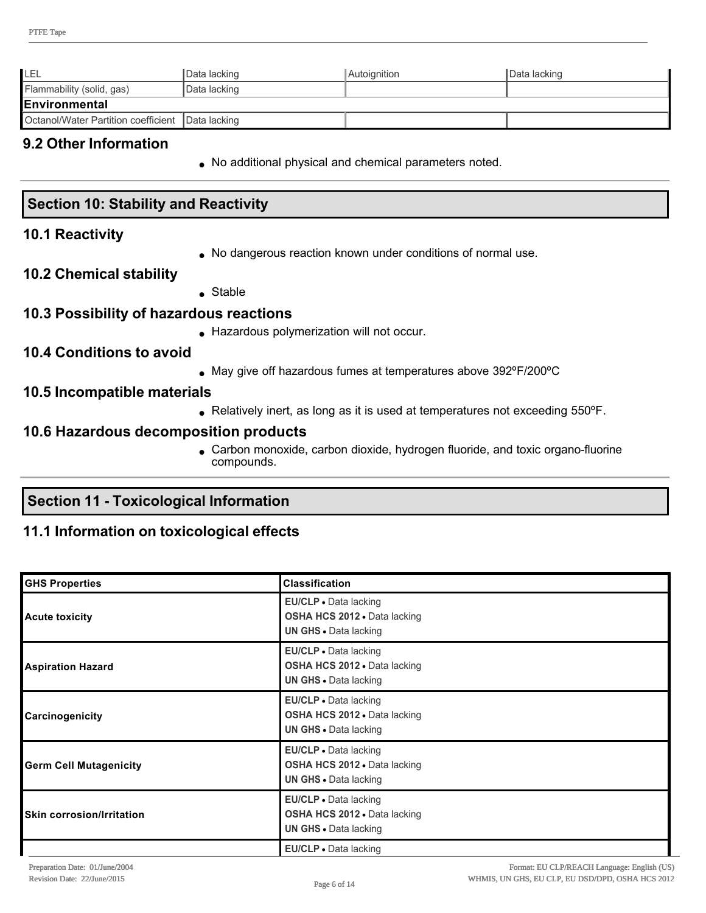| LEL                                                | Data lacking  | Autoignition | I Data lacking |
|----------------------------------------------------|---------------|--------------|----------------|
| Flammability (solid, gas)                          | ∣Data lacking |              |                |
| <b>IEnvironmental</b>                              |               |              |                |
| Octanol/Water Partition coefficient   Data lacking |               |              |                |

#### **9.2 Other Information**

. No additional physical and chemical parameters noted.

# **Section 10: Stability and Reactivity**

#### **10.1 Reactivity**

• No dangerous reaction known under conditions of normal use.

#### **10.2 Chemical stability**

 $\bullet$  Stable

#### **10.3 Possibility of hazardous reactions**

**Hazardous polymerization will not occur.** 

#### **10.4 Conditions to avoid**

• May give off hazardous fumes at temperatures above 392°F/200°C

#### **10.5 Incompatible materials**

• Relatively inert, as long as it is used at temperatures not exceeding 550°F.

#### **10.6 Hazardous decomposition products**

• Carbon monoxide, carbon dioxide, hydrogen fluoride, and toxic organo-fluorine compounds.

# **Section 11 Toxicological Information**

#### **11.1 Information on toxicological effects**

| <b>GHS Properties</b>            | <b>Classification</b>                                                                        |
|----------------------------------|----------------------------------------------------------------------------------------------|
| <b>Acute toxicity</b>            | EU/CLP • Data lacking<br>OSHA HCS 2012 . Data lacking<br><b>UN GHS · Data lacking</b>        |
| <b>Aspiration Hazard</b>         | <b>EU/CLP</b> . Data lacking<br>OSHA HCS 2012 . Data lacking<br><b>UN GHS · Data lacking</b> |
| Carcinogenicity                  | EU/CLP · Data lacking<br>OSHA HCS 2012 . Data lacking<br><b>UN GHS · Data lacking</b>        |
| <b>Germ Cell Mutagenicity</b>    | <b>EU/CLP</b> • Data lacking<br>OSHA HCS 2012 . Data lacking<br><b>UN GHS · Data lacking</b> |
| <b>Skin corrosion/Irritation</b> | EU/CLP · Data lacking<br>OSHA HCS 2012 . Data lacking<br><b>UN GHS · Data lacking</b>        |
|                                  | EU/CLP · Data lacking                                                                        |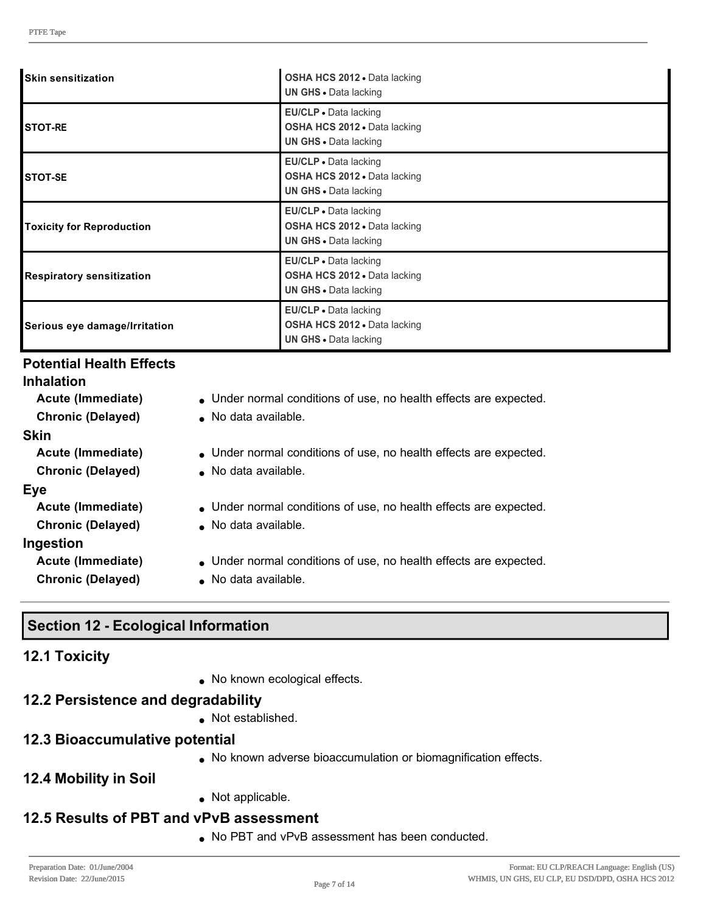| <b>Skin sensitization</b>        | OSHA HCS 2012 · Data lacking<br><b>UN GHS .</b> Data lacking                          |
|----------------------------------|---------------------------------------------------------------------------------------|
| <b>ISTOT-RE</b>                  | EU/CLP . Data lacking<br>OSHA HCS 2012 . Data lacking<br><b>UN GHS • Data lacking</b> |
| <b>STOT-SE</b>                   | EU/CLP · Data lacking<br>OSHA HCS 2012 . Data lacking<br><b>UN GHS · Data lacking</b> |
| <b>Toxicity for Reproduction</b> | EU/CLP • Data lacking<br>OSHA HCS 2012 . Data lacking<br><b>UN GHS · Data lacking</b> |
| <b>Respiratory sensitization</b> | EU/CLP . Data lacking<br>OSHA HCS 2012 . Data lacking<br><b>UN GHS .</b> Data lacking |
| Serious eye damage/Irritation    | EU/CLP . Data lacking<br>OSHA HCS 2012 . Data lacking<br><b>UN GHS · Data lacking</b> |

#### **Potential Health Effects**

# **Inhalation**

**Skin**

- **Acute (Immediate)** Under normal conditions of use, no health effects are expected.
- **Chronic (Delayed)** . No data available.
- **Acute (Immediate)** Under normal conditions of use, no health effects are expected.
- **Chronic (Delayed)** No data available. **Eye** Acute (Immediate) **Inder normal conditions of use, no health effects are expected. Chronic (Delayed)** . No data available. **Ingestion**
	- **Acute (Immediate)** Under normal conditions of use, no health effects are expected.
	-
- 
- **Chronic (Delayed)** . No data available.

# **Section 12 Ecological Information**

#### **12.1 Toxicity**

• No known ecological effects.

#### **12.2 Persistence and degradability**

• Not established.

#### **12.3 Bioaccumulative potential**

- . No known adverse bioaccumulation or biomagnification effects.
- **12.4 Mobility in Soil**

 $\bullet$  Not applicable.

#### **12.5 Results of PBT and vPvB assessment**

. No PBT and vPvB assessment has been conducted.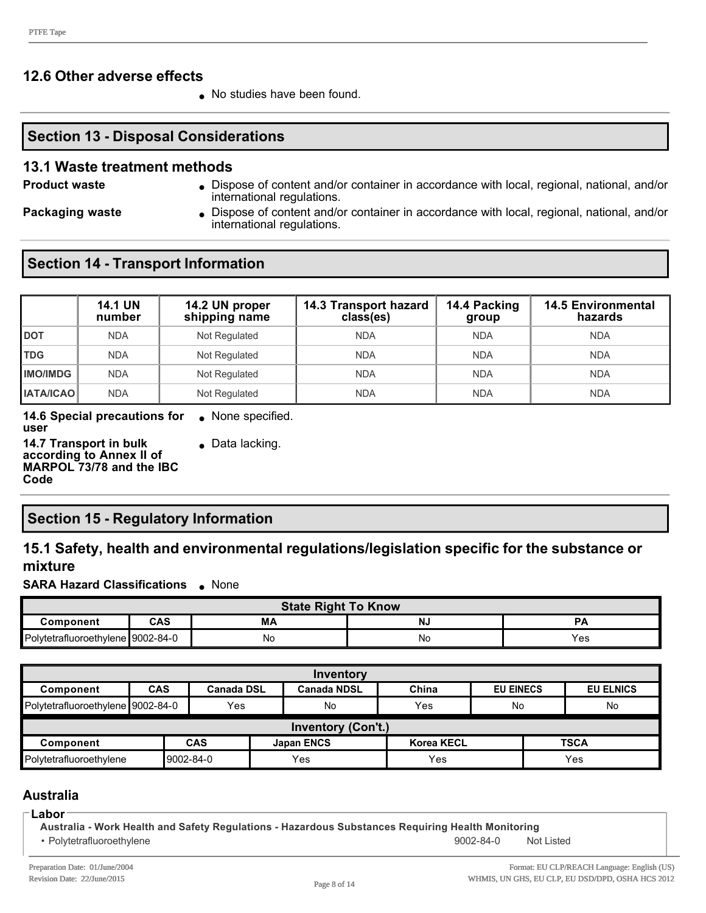#### **12.6 Other adverse effects**

• No studies have been found.

#### **Section 13 - Disposal Considerations**

#### **13.1 Waste treatment methods**

- **Product waste lightness lightness** Dispose of content and/or container in accordance with local, regional, national, and/or international regulations.
- 
- 
- **Packaging waste I** Dispose of content and/or container in accordance with local, regional, national, and/or international regulations.

#### **Section 14 - Transport Information**

|                  | <b>14.1 UN</b><br>number | 14.2 UN proper<br>shipping name | 14.3 Transport hazard<br>class(es) | 14.4 Packing<br>group | <b>14.5 Environmental</b><br>hazards |
|------------------|--------------------------|---------------------------------|------------------------------------|-----------------------|--------------------------------------|
| <b>DOT</b>       | <b>NDA</b>               | Not Regulated                   | <b>NDA</b>                         | <b>NDA</b>            | <b>NDA</b>                           |
| <b>TDG</b>       | <b>NDA</b>               | Not Regulated                   | <b>NDA</b>                         | <b>NDA</b>            | <b>NDA</b>                           |
| <b>IMO/IMDG</b>  | <b>NDA</b>               | Not Regulated                   | <b>NDA</b>                         | <b>NDA</b>            | <b>NDA</b>                           |
| <b>IATA/ICAO</b> | <b>NDA</b>               | Not Regulated                   | <b>NDA</b>                         | <b>NDA</b>            | <b>NDA</b>                           |

**14.6 Special precautions for user**  $\bullet$  None specified. **14.7 Transport in bulk**   $\bullet$  Data lacking.

**according to Annex II of MARPOL 73/78 and the IBC Code**

# **Section 15 - Regulatory Information**

#### **15.1 Safety, health and environmental regulations/legislation specific for the substance or mixture**

**SARA Hazard Classifications** • None

| <b>State Right To Know</b>        |     |    |    |     |
|-----------------------------------|-----|----|----|-----|
| Component                         | CAS | MΑ | N. |     |
| Polytetrafluoroethylene 9002-84-0 |     | No | Νc | Yes |

| Inventory                                                 |                           |                   |                   |                    |                   |                  |                  |
|-----------------------------------------------------------|---------------------------|-------------------|-------------------|--------------------|-------------------|------------------|------------------|
| Component                                                 | <b>CAS</b>                | <b>Canada DSL</b> |                   | <b>Canada NDSL</b> | China             | <b>EU EINECS</b> | <b>EU ELNICS</b> |
| Polytetrafluoroethylene 9002-84-0                         |                           | Yes               |                   | No                 | Yes               | No               | No               |
|                                                           | <b>Inventory (Con't.)</b> |                   |                   |                    |                   |                  |                  |
| Component                                                 |                           | <b>CAS</b>        | <b>Japan ENCS</b> |                    | <b>Korea KECL</b> |                  | <b>TSCA</b>      |
| Yes<br>9002-84-0<br>Yes<br>Polytetrafluoroethylene<br>Yes |                           |                   |                   |                    |                   |                  |                  |

#### **Australia**

#### **Labor**

**Australia Work Health and Safety Regulations Hazardous Substances Requiring Health Monitoring**

• Polytetrafluoroethylene **9002-84-0** Not Listed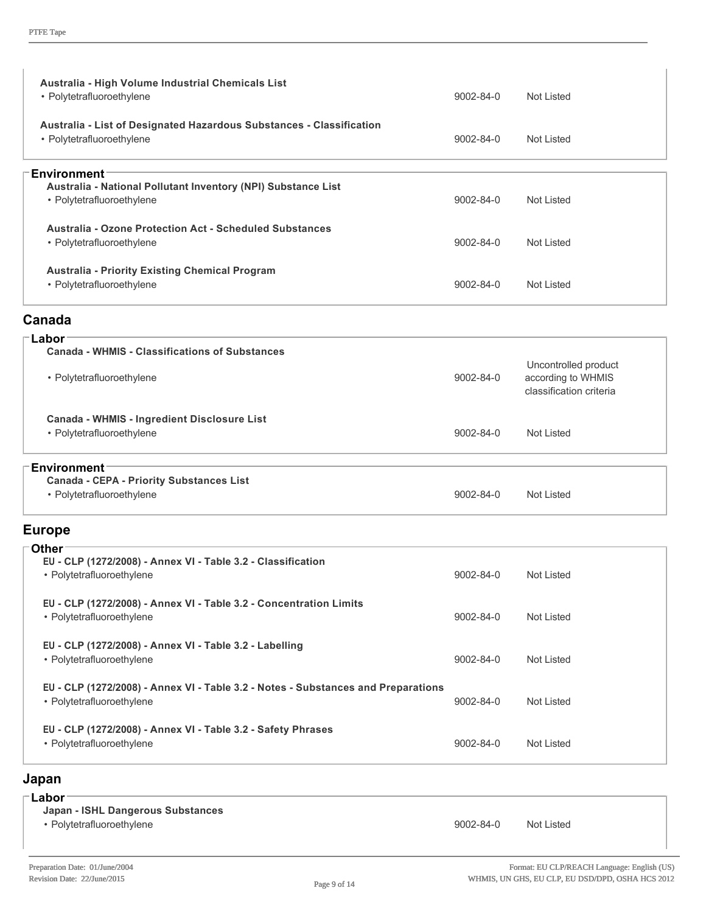| Australia - High Volume Industrial Chemicals List<br>• Polytetrafluoroethylene                                 | 9002-84-0       | <b>Not Listed</b>                                                     |
|----------------------------------------------------------------------------------------------------------------|-----------------|-----------------------------------------------------------------------|
| Australia - List of Designated Hazardous Substances - Classification<br>• Polytetrafluoroethylene              | $9002 - 84 - 0$ | <b>Not Listed</b>                                                     |
| <b>Environment</b>                                                                                             |                 |                                                                       |
| Australia - National Pollutant Inventory (NPI) Substance List<br>• Polytetrafluoroethylene                     | $9002 - 84 - 0$ | <b>Not Listed</b>                                                     |
| <b>Australia - Ozone Protection Act - Scheduled Substances</b><br>• Polytetrafluoroethylene                    | $9002 - 84 - 0$ | Not Listed                                                            |
| <b>Australia - Priority Existing Chemical Program</b><br>• Polytetrafluoroethylene                             | $9002 - 84 - 0$ | Not Listed                                                            |
| Canada                                                                                                         |                 |                                                                       |
| <b>Labor</b><br><b>Canada - WHMIS - Classifications of Substances</b>                                          |                 |                                                                       |
| • Polytetrafluoroethylene                                                                                      | 9002-84-0       | Uncontrolled product<br>according to WHMIS<br>classification criteria |
| Canada - WHMIS - Ingredient Disclosure List<br>• Polytetrafluoroethylene                                       | 9002-84-0       | <b>Not Listed</b>                                                     |
| <b>Environment</b>                                                                                             |                 |                                                                       |
| <b>Canada - CEPA - Priority Substances List</b><br>• Polytetrafluoroethylene                                   | 9002-84-0       | <b>Not Listed</b>                                                     |
| <b>Europe</b>                                                                                                  |                 |                                                                       |
| <b>Other</b>                                                                                                   |                 |                                                                       |
| EU - CLP (1272/2008) - Annex VI - Table 3.2 - Classification<br>• Polytetrafluoroethylene                      | 9002-84-0       | Not Listed                                                            |
| EU - CLP (1272/2008) - Annex VI - Table 3.2 - Concentration Limits<br>• Polytetrafluoroethylene                | 9002-84-0       | Not Listed                                                            |
| EU - CLP (1272/2008) - Annex VI - Table 3.2 - Labelling<br>• Polytetrafluoroethylene                           | 9002-84-0       | Not Listed                                                            |
| EU - CLP (1272/2008) - Annex VI - Table 3.2 - Notes - Substances and Preparations<br>• Polytetrafluoroethylene | 9002-84-0       | <b>Not Listed</b>                                                     |
| EU - CLP (1272/2008) - Annex VI - Table 3.2 - Safety Phrases<br>• Polytetrafluoroethylene                      | 9002-84-0       | Not Listed                                                            |
| Japan                                                                                                          |                 |                                                                       |
| $^-$ Labor                                                                                                     |                 |                                                                       |

# **Japan ISHL Dangerous Substances** • Polytetrafluoroethylene **9002-84-0** Not Listed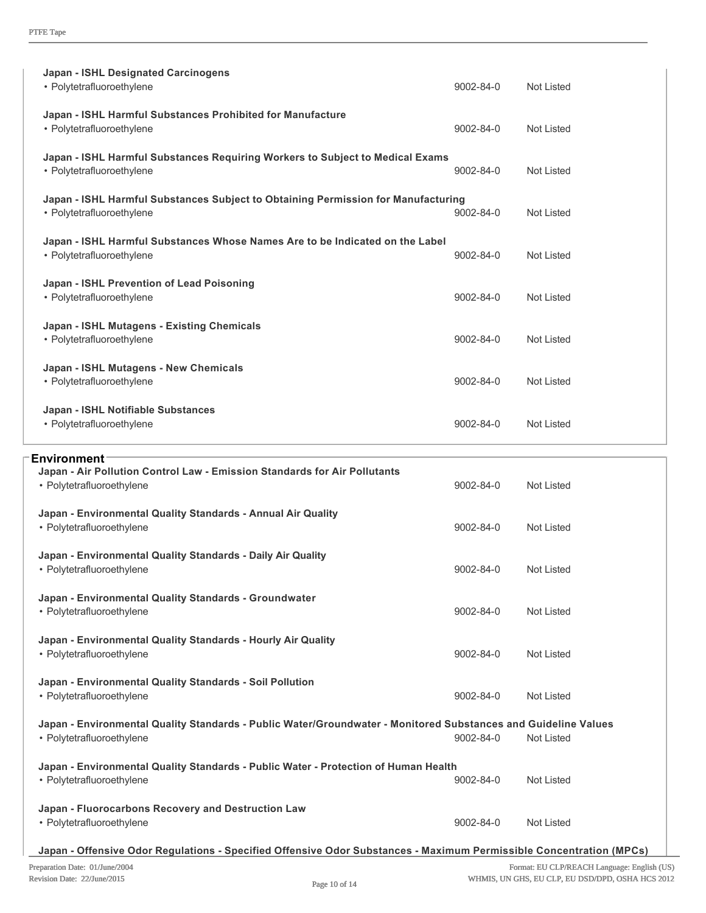| <b>Japan - ISHL Designated Carcinogens</b><br>• Polytetrafluoroethylene                                                      | $9002 - 84 - 0$ | <b>Not Listed</b> |
|------------------------------------------------------------------------------------------------------------------------------|-----------------|-------------------|
| Japan - ISHL Harmful Substances Prohibited for Manufacture<br>• Polytetrafluoroethylene                                      | $9002 - 84 - 0$ | <b>Not Listed</b> |
| Japan - ISHL Harmful Substances Requiring Workers to Subject to Medical Exams<br>• Polytetrafluoroethylene                   | 9002-84-0       | <b>Not Listed</b> |
| Japan - ISHL Harmful Substances Subject to Obtaining Permission for Manufacturing<br>• Polytetrafluoroethylene               | $9002 - 84 - 0$ | <b>Not Listed</b> |
| Japan - ISHL Harmful Substances Whose Names Are to be Indicated on the Label<br>• Polytetrafluoroethylene                    | $9002 - 84 - 0$ | Not Listed        |
| Japan - ISHL Prevention of Lead Poisoning<br>• Polytetrafluoroethylene                                                       | $9002 - 84 - 0$ | Not Listed        |
| <b>Japan - ISHL Mutagens - Existing Chemicals</b><br>• Polytetrafluoroethylene                                               | 9002-84-0       | <b>Not Listed</b> |
| Japan - ISHL Mutagens - New Chemicals<br>• Polytetrafluoroethylene                                                           | $9002 - 84 - 0$ | Not Listed        |
| Japan - ISHL Notifiable Substances<br>• Polytetrafluoroethylene                                                              | 9002-84-0       | Not Listed        |
|                                                                                                                              |                 |                   |
| <b>Environment</b><br>Japan - Air Pollution Control Law - Emission Standards for Air Pollutants<br>• Polytetrafluoroethylene | 9002-84-0       | <b>Not Listed</b> |

| Japan - Environmental Quality Standards - Annual Air Quality<br>• Polytetrafluoroethylene                      | $9002 - 84 - 0$ | Not Listed        |  |  |
|----------------------------------------------------------------------------------------------------------------|-----------------|-------------------|--|--|
| Japan - Environmental Quality Standards - Daily Air Quality<br>• Polytetrafluoroethylene                       | $9002 - 84 - 0$ | Not Listed        |  |  |
| Japan - Environmental Quality Standards - Groundwater<br>• Polytetrafluoroethylene                             | $9002 - 84 - 0$ | <b>Not Listed</b> |  |  |
| Japan - Environmental Quality Standards - Hourly Air Quality<br>• Polytetrafluoroethylene                      | $9002 - 84 - 0$ | Not Listed        |  |  |
| Japan - Environmental Quality Standards - Soil Pollution<br>• Polytetrafluoroethylene                          | $9002 - 84 - 0$ | <b>Not Listed</b> |  |  |
| Japan - Environmental Quality Standards - Public Water/Groundwater - Monitored Substances and Guideline Values |                 |                   |  |  |
| • Polytetrafluoroethylene                                                                                      | $9002 - 84 - 0$ | Not Listed        |  |  |
| Japan - Environmental Quality Standards - Public Water - Protection of Human Health                            |                 |                   |  |  |
| • Polytetrafluoroethylene                                                                                      | $9002 - 84 - 0$ | <b>Not Listed</b> |  |  |
| Japan - Fluorocarbons Recovery and Destruction Law<br>• Polytetrafluoroethylene                                | 9002-84-0       | Not Listed        |  |  |

**Japan Offensive Odor Regulations Specified Offensive Odor Substances Maximum Permissible Concentration (MPCs)**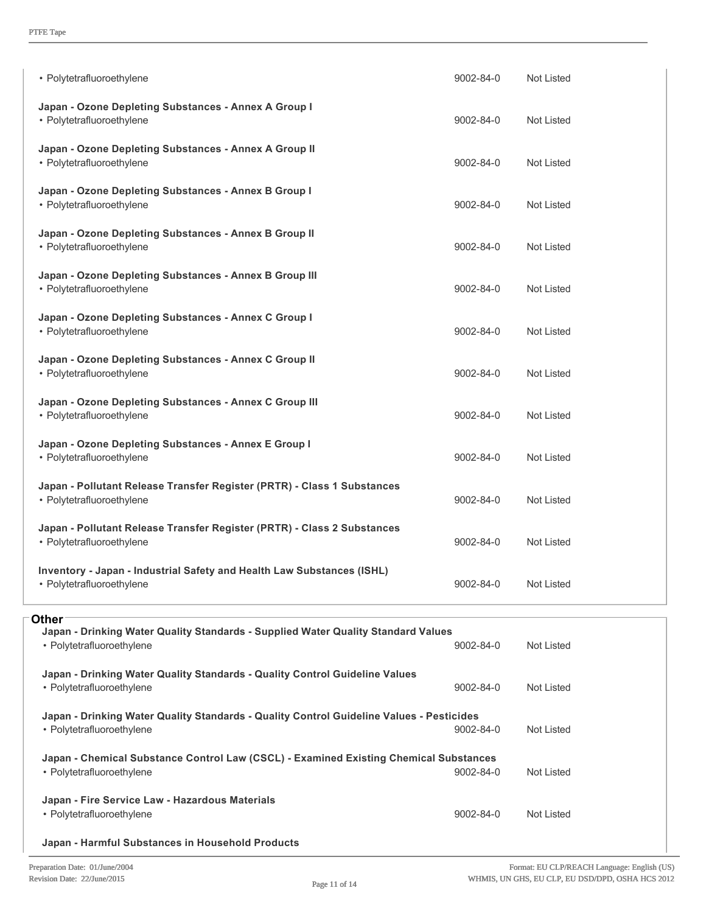| • Polytetrafluoroethylene                                                                            | 9002-84-0       | <b>Not Listed</b> |
|------------------------------------------------------------------------------------------------------|-----------------|-------------------|
| Japan - Ozone Depleting Substances - Annex A Group I<br>• Polytetrafluoroethylene                    | 9002-84-0       | Not Listed        |
| Japan - Ozone Depleting Substances - Annex A Group II<br>• Polytetrafluoroethylene                   | $9002 - 84 - 0$ | Not Listed        |
| Japan - Ozone Depleting Substances - Annex B Group I<br>• Polytetrafluoroethylene                    | 9002-84-0       | Not Listed        |
| Japan - Ozone Depleting Substances - Annex B Group II<br>• Polytetrafluoroethylene                   | 9002-84-0       | Not Listed        |
| Japan - Ozone Depleting Substances - Annex B Group III<br>• Polytetrafluoroethylene                  | 9002-84-0       | Not Listed        |
| Japan - Ozone Depleting Substances - Annex C Group I<br>• Polytetrafluoroethylene                    | 9002-84-0       | <b>Not Listed</b> |
| Japan - Ozone Depleting Substances - Annex C Group II<br>• Polytetrafluoroethylene                   | 9002-84-0       | Not Listed        |
| Japan - Ozone Depleting Substances - Annex C Group III<br>• Polytetrafluoroethylene                  | 9002-84-0       | Not Listed        |
| Japan - Ozone Depleting Substances - Annex E Group I<br>• Polytetrafluoroethylene                    | 9002-84-0       | <b>Not Listed</b> |
| Japan - Pollutant Release Transfer Register (PRTR) - Class 1 Substances<br>• Polytetrafluoroethylene | 9002-84-0       | Not Listed        |
| Japan - Pollutant Release Transfer Register (PRTR) - Class 2 Substances<br>• Polytetrafluoroethylene | 9002-84-0       | Not Listed        |
| Inventory - Japan - Industrial Safety and Health Law Substances (ISHL)<br>• Polytetrafluoroethylene  | 9002-84-0       | <b>Not Listed</b> |

| <b>Other</b><br>Japan - Drinking Water Quality Standards - Supplied Water Quality Standard Values<br>• Polytetrafluoroethylene | $9002 - 84 - 0$ | Not Listed |  |
|--------------------------------------------------------------------------------------------------------------------------------|-----------------|------------|--|
| Japan - Drinking Water Quality Standards - Quality Control Guideline Values<br>• Polytetrafluoroethylene                       | $9002 - 84 - 0$ | Not Listed |  |
| Japan - Drinking Water Quality Standards - Quality Control Guideline Values - Pesticides<br>• Polytetrafluoroethylene          | $9002 - 84 - 0$ | Not Listed |  |
| Japan - Chemical Substance Control Law (CSCL) - Examined Existing Chemical Substances<br>• Polytetrafluoroethylene             | $9002 - 84 - 0$ | Not Listed |  |
| Japan - Fire Service Law - Hazardous Materials                                                                                 |                 |            |  |
| • Polytetrafluoroethylene                                                                                                      | $9002 - 84 - 0$ | Not Listed |  |
| Japan - Harmful Substances in Household Products                                                                               |                 |            |  |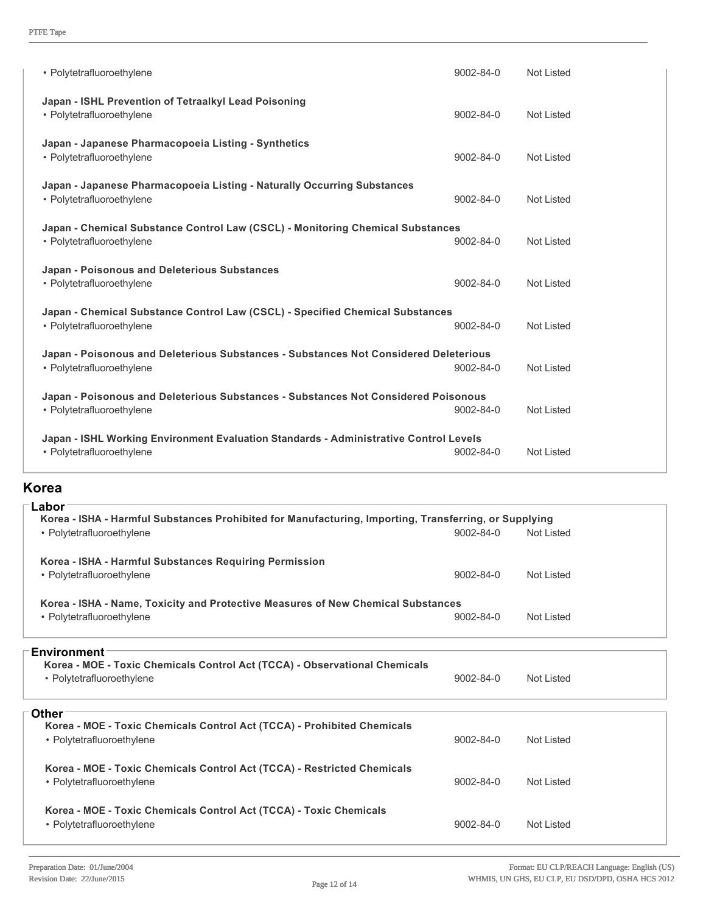| • Polytetrafluoroethylene                                                                                          | $9002 - 84 - 0$ | Not Listed |
|--------------------------------------------------------------------------------------------------------------------|-----------------|------------|
| Japan - ISHL Prevention of Tetraalkyl Lead Poisoning<br>• Polytetrafluoroethylene                                  | 9002-84-0       | Not Listed |
| Japan - Japanese Pharmacopoeia Listing - Synthetics<br>• Polytetrafluoroethylene                                   | 9002-84-0       | Not Listed |
| Japan - Japanese Pharmacopoeia Listing - Naturally Occurring Substances<br>• Polytetrafluoroethylene               | $9002 - 84 - 0$ | Not Listed |
| Japan - Chemical Substance Control Law (CSCL) - Monitoring Chemical Substances<br>• Polytetrafluoroethylene        | 9002-84-0       | Not Listed |
| Japan - Poisonous and Deleterious Substances<br>• Polytetrafluoroethylene                                          | $9002 - 84 - 0$ | Not Listed |
| Japan - Chemical Substance Control Law (CSCL) - Specified Chemical Substances<br>• Polytetrafluoroethylene         | $9002 - 84 - 0$ | Not Listed |
| Japan - Poisonous and Deleterious Substances - Substances Not Considered Deleterious<br>• Polytetrafluoroethylene  | $9002 - 84 - 0$ | Not Listed |
| Japan - Poisonous and Deleterious Substances - Substances Not Considered Poisonous<br>• Polytetrafluoroethylene    | $9002 - 84 - 0$ | Not Listed |
| Japan - ISHL Working Environment Evaluation Standards - Administrative Control Levels<br>• Polytetrafluoroethylene | $9002 - 84 - 0$ | Not Listed |

#### **Korea**

| Labor<br>Korea - ISHA - Harmful Substances Prohibited for Manufacturing, Importing, Transferring, or Supplying<br>• Polytetrafluoroethylene | $9002 - 84 - 0$ | Not Listed |
|---------------------------------------------------------------------------------------------------------------------------------------------|-----------------|------------|
| Korea - ISHA - Harmful Substances Requiring Permission<br>• Polytetrafluoroethylene                                                         | $9002 - 84 - 0$ | Not Listed |
| Korea - ISHA - Name, Toxicity and Protective Measures of New Chemical Substances<br>• Polytetrafluoroethylene                               | $9002 - 84 - 0$ | Not Listed |
| <b>Environment</b><br>Korea - MOE - Toxic Chemicals Control Act (TCCA) - Observational Chemicals<br>• Polytetrafluoroethylene               | $9002 - 84 - 0$ | Not Listed |
| Other<br>Korea - MOE - Toxic Chemicals Control Act (TCCA) - Prohibited Chemicals<br>• Polytetrafluoroethylene                               | $9002 - 84 - 0$ | Not Listed |
| Korea - MOE - Toxic Chemicals Control Act (TCCA) - Restricted Chemicals<br>• Polytetrafluoroethylene                                        | $9002 - 84 - 0$ | Not Listed |
| Korea - MOE - Toxic Chemicals Control Act (TCCA) - Toxic Chemicals<br>• Polytetrafluoroethylene                                             | $9002 - 84 - 0$ | Not Listed |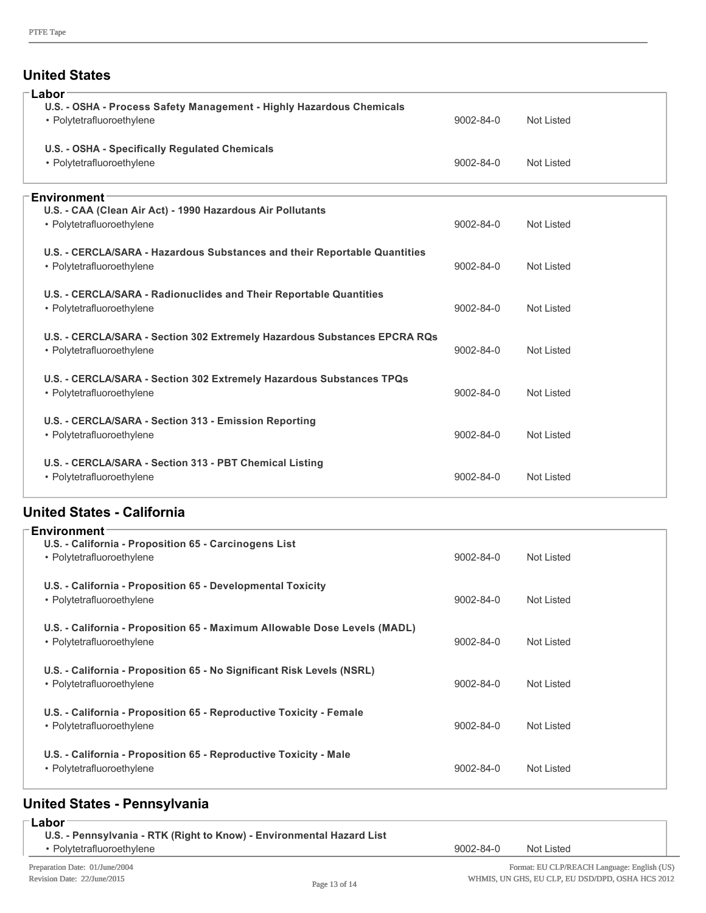#### **United States**

| Labor<br>U.S. - OSHA - Process Safety Management - Highly Hazardous Chemicals<br>• Polytetrafluoroethylene    | $9002 - 84 - 0$ | Not Listed        |
|---------------------------------------------------------------------------------------------------------------|-----------------|-------------------|
| U.S. - OSHA - Specifically Regulated Chemicals<br>• Polytetrafluoroethylene                                   | $9002 - 84 - 0$ | Not Listed        |
|                                                                                                               |                 |                   |
| <b>Environment</b><br>U.S. - CAA (Clean Air Act) - 1990 Hazardous Air Pollutants<br>• Polytetrafluoroethylene | 9002-84-0       | Not Listed        |
|                                                                                                               |                 |                   |
| U.S. - CERCLA/SARA - Hazardous Substances and their Reportable Quantities<br>• Polytetrafluoroethylene        | 9002-84-0       | Not Listed        |
| U.S. - CERCLA/SARA - Radionuclides and Their Reportable Quantities<br>• Polytetrafluoroethylene               | 9002-84-0       | <b>Not Listed</b> |
| U.S. - CERCLA/SARA - Section 302 Extremely Hazardous Substances EPCRA RQs<br>• Polytetrafluoroethylene        | 9002-84-0       | Not Listed        |
| U.S. - CERCLA/SARA - Section 302 Extremely Hazardous Substances TPQs<br>• Polytetrafluoroethylene             | 9002-84-0       | <b>Not Listed</b> |
| U.S. - CERCLA/SARA - Section 313 - Emission Reporting<br>• Polytetrafluoroethylene                            | 9002-84-0       | Not Listed        |
| U.S. - CERCLA/SARA - Section 313 - PBT Chemical Listing<br>• Polytetrafluoroethylene                          | 9002-84-0       | Not Listed        |

# **United States California**

| <b>Environment</b>                                                        |                 |            |
|---------------------------------------------------------------------------|-----------------|------------|
| U.S. - California - Proposition 65 - Carcinogens List                     |                 |            |
| • Polytetrafluoroethylene                                                 | $9002 - 84 - 0$ | Not Listed |
| U.S. - California - Proposition 65 - Developmental Toxicity               |                 |            |
| • Polytetrafluoroethylene                                                 | $9002 - 84 - 0$ | Not Listed |
| U.S. - California - Proposition 65 - Maximum Allowable Dose Levels (MADL) |                 |            |
| • Polytetrafluoroethylene                                                 | $9002 - 84 - 0$ | Not Listed |
| U.S. - California - Proposition 65 - No Significant Risk Levels (NSRL)    |                 |            |
| • Polytetrafluoroethylene                                                 | $9002 - 84 - 0$ | Not Listed |
| U.S. - California - Proposition 65 - Reproductive Toxicity - Female       |                 |            |
| • Polytetrafluoroethylene                                                 | $9002 - 84 - 0$ | Not Listed |
| U.S. - California - Proposition 65 - Reproductive Toxicity - Male         |                 |            |
| • Polytetrafluoroethylene                                                 | $9002 - 84 - 0$ | Not Listed |
|                                                                           |                 |            |

# **United States Pennsylvania**

| ⊤Labor∶                                                               |           |                               |  |
|-----------------------------------------------------------------------|-----------|-------------------------------|--|
| U.S. - Pennsylvania - RTK (Right to Know) - Environmental Hazard List |           |                               |  |
| • Polytetrafluoroethylene                                             | 9002-84-0 | Not Listed                    |  |
| Prenaration Date: 01/June/2004                                        |           | Format: ELL CLP/REACH Languag |  |